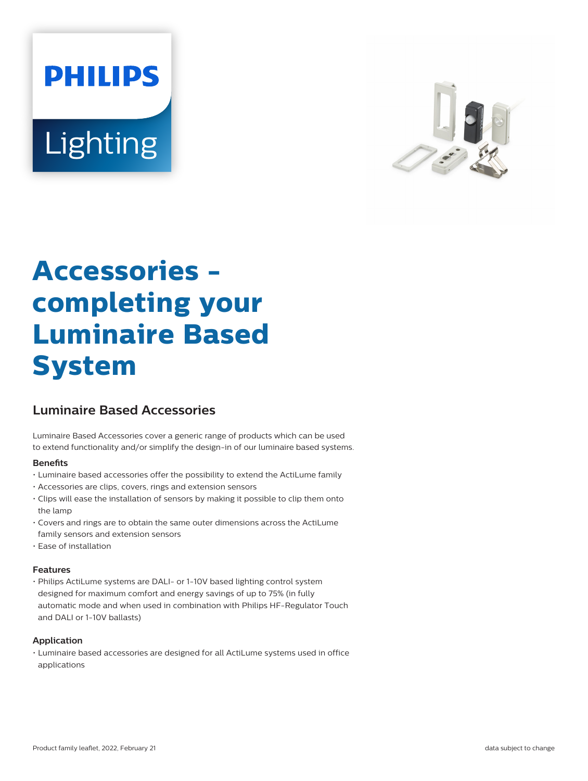# **PHILIPS** Lighting



# **Accessories completing your Luminaire Based System**

# **Luminaire Based Accessories**

Luminaire Based Accessories cover a generic range of products which can be used to extend functionality and/or simplify the design-in of our luminaire based systems.

# **Benefits**

- Luminaire based accessories offer the possibility to extend the ActiLume family
- Accessories are clips, covers, rings and extension sensors
- Clips will ease the installation of sensors by making it possible to clip them onto the lamp
- Covers and rings are to obtain the same outer dimensions across the ActiLume family sensors and extension sensors
- Ease of installation

### **Features**

• Philips ActiLume systems are DALI- or 1-10V based lighting control system designed for maximum comfort and energy savings of up to 75% (in fully automatic mode and when used in combination with Philips HF-Regulator Touch and DALI or 1-10V ballasts)

### **Application**

• Luminaire based accessories are designed for all ActiLume systems used in office applications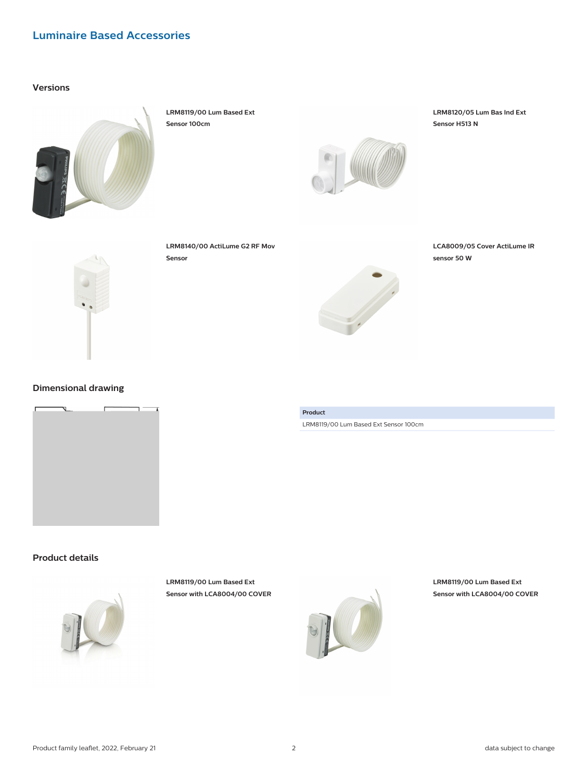# **Luminaire Based Accessories**

## **Versions**



**LRM8119/00 Lum Based Ext Sensor 100cm**



**LRM8120/05 Lum Bas Ind Ext Sensor H513 N**



**LRM8140/00 ActiLume G2 RF Mov Sensor**



**LCA8009/05 Cover ActiLume IR sensor 50 W**

# **Dimensional drawing**



# **Product**

LRM8119/00 Lum Based Ext Sensor 100cm

# **Product details**



**LRM8119/00 Lum Based Ext Sensor with LCA8004/00 COVER**



**LRM8119/00 Lum Based Ext Sensor with LCA8004/00 COVER**